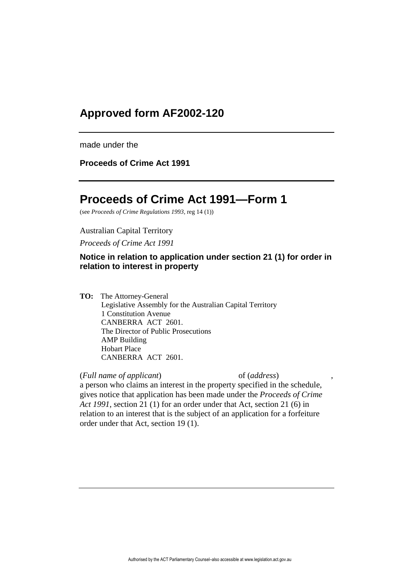# **Approved form AF2002-120**

made under the

**Proceeds of Crime Act 1991**

# **Proceeds of Crime Act 1991—Form 1**

(see *Proceeds of Crime Regulations 1993*, reg 14 (1))

### Australian Capital Territory

*Proceeds of Crime Act 1991*

# **Notice in relation to application under section 21 (1) for order in relation to interest in property**

**TO:** The Attorney-General Legislative Assembly for the Australian Capital Territory 1 Constitution Avenue CANBERRA ACT 2601. The Director of Public Prosecutions AMP Building Hobart Place CANBERRA ACT 2601.

(*Full name of applicant*) of (*address*) ,

a person who claims an interest in the property specified in the schedule, gives notice that application has been made under the *Proceeds of Crime Act 1991*, section 21 (1) for an order under that Act, section 21 (6) in relation to an interest that is the subject of an application for a forfeiture order under that Act, section 19 (1).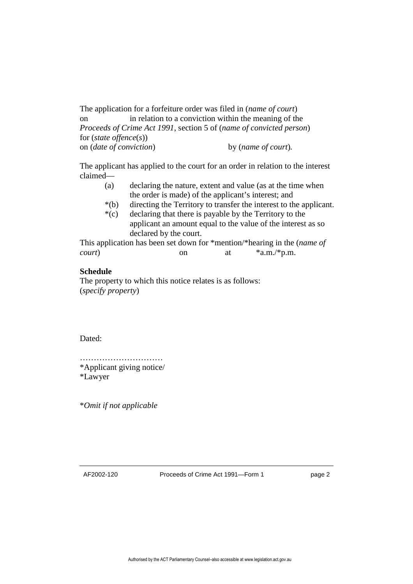The application for a forfeiture order was filed in (*name of court*) on in relation to a conviction within the meaning of the *Proceeds of Crime Act 1991*, section 5 of (*name of convicted person*) for (*state offence*(*s*)) on (*date of conviction*) by (*name of court*)*.*

The applicant has applied to the court for an order in relation to the interest claimed—

- (a) declaring the nature, extent and value (as at the time when the order is made) of the applicant's interest; and
- \*(b) directing the Territory to transfer the interest to the applicant.
- \*(c) declaring that there is payable by the Territory to the applicant an amount equal to the value of the interest as so declared by the court.

This application has been set down for \*mention/\*hearing in the (*name of court*) on at  $*a.m./*p.m.$ 

## **Schedule**

The property to which this notice relates is as follows: (*specify property*)

Dated:

…………………………………… \*Applicant giving notice/ \*Lawyer

\**Omit if not applicable*

AF2002-120 Proceeds of Crime Act 1991—Form 1 page 2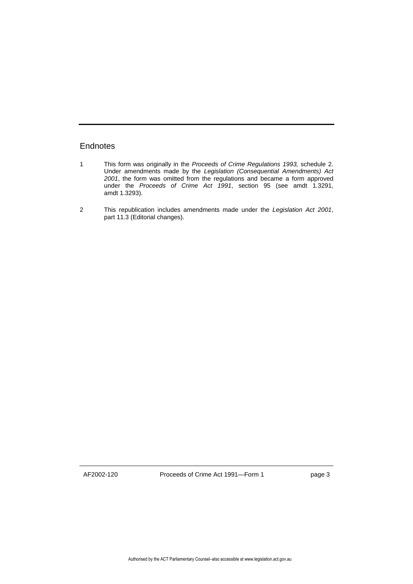## **Endnotes**

- 1 This form was originally in the *Proceeds of Crime Regulations 1993,* schedule 2. Under amendments made by the *Legislation (Consequential Amendments) Act 2001*, the form was omitted from the regulations and became a form approved under the *Proceeds of Crime Act 1991*, section 95 (see amdt 1.3291, amdt 1.3293).
- 2 This republication includes amendments made under the *Legislation Act 2001*, part 11.3 (Editorial changes).

AF2002-120 Proceeds of Crime Act 1991—Form 1 page 3